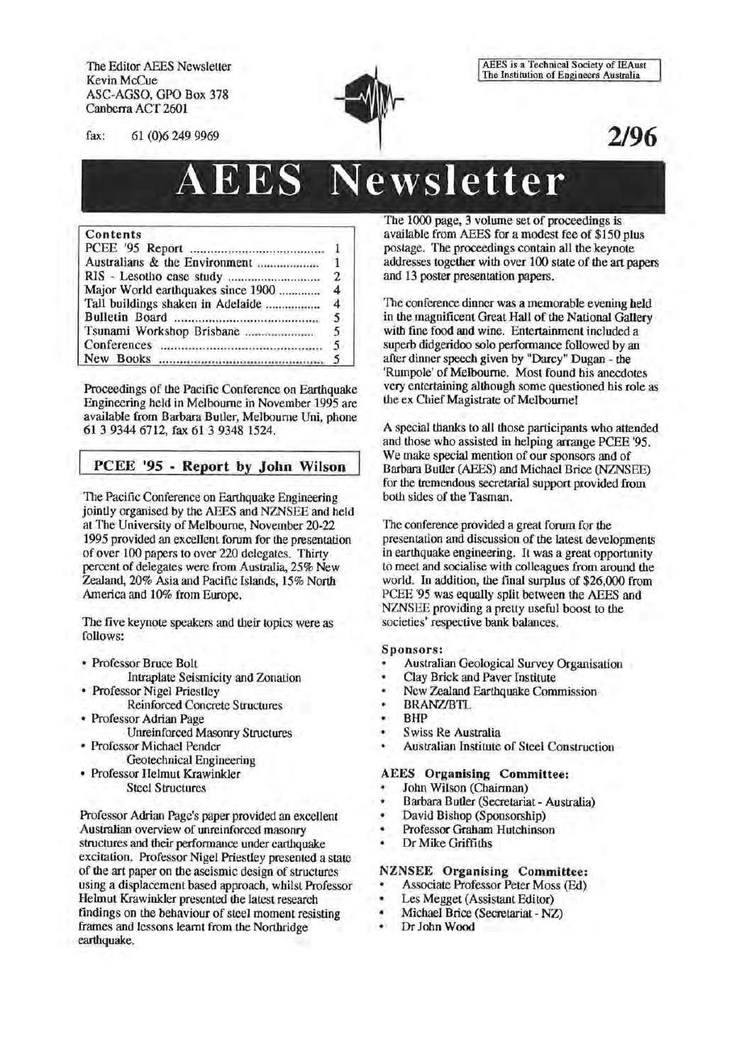The Editor AEES Newsletter Kevin McCue ASC-AGSO, GPO Box 378 Canberra ACT 2601



AEES is a Technical Society of IEAust The Institution of Engineers Australia

fax: 61 (0)6 249 9969

# **2/96**

# AEES **Newsletter**

## Contents

| Australians & the Environment      |                |
|------------------------------------|----------------|
|                                    | $\mathbf{2}$   |
| Major World earthquakes since 1900 | 4              |
| Tall buildings shaken in Adelaide  | $\overline{4}$ |
|                                    |                |
|                                    |                |
|                                    |                |
|                                    |                |

Proceedings of the Pacific Conference on Earthquake Engineering held in Melbourne in November 1995 are available from Barbara Butler, Melbourne Uni, phone 61 3 9344 6712, fax 61 3 9348 1524.

# PCEE '95 - Report by John Wilson

The Pacific Conference on Earthquake Engineering jointly organised by the AEES and NZNSEE and held at The University of Melbourne, November 20-22 1995 provided an excellent forum for the presentation of over 100 papers to over 220 delegates. Thirty percent of delegates were from Australia, 25% New Zealand, 20% Asia and Pacific Islands, 15% North America and 10% from Europe.

The five keynote speakers and their topics were as follows:

- Professor Bruce Bolt Intraplate Seismicity and Zonation
- Professor Nigel Priestley Reinforced Concrete Structures
- Professor Adrian Page Unreinforced Masonry Structures
- Professor Michael Pender Geotechnical Engineering
- Professor Helmut Krawinkler Steel Structures

Professor Adrian Page's paper provided an excellent Australian overview of unreinforced masonry structures and their performance under earthquake excitation. Professor Nigel Priestley presented a state of the art paper on the aseismic design of structures using a displacement based approach, whilst Professor Helmut Krawinkler presented the latest research findings on the behaviour of steel moment resisting frames and lessons learnt from the Northridge earthquake.

The 1000 page, 3 volume set of proceedings is available from AEES for a modest fee of \$150 plus postage. The proceedings contain all the keynote addresses together with over 100 state of the art papers and 13 poster presentation papers.

The conference dinner was a memorable evening held in the magnificent Great Hall of the National Gallery with fine food and wine. Entertainment included a superb didgeridoo solo performance followed by an after dinner speech given by "Darcy" Dugan- the 'Rumpole' of Melbourne. Most found his anecdotes very entertaining although some questioned his role as the ex Chief Magistrate of Melbourne!

A special thanks to all those participants who attended and those who assisted in helping arrange PCEE '95. We make special mention of our sponsors and of Barbara Butler (AEES) and Michael Brice (NZNSEE) for the tremendous secretarial support provided from both sides of the Tasman.

The conference provided a great forum for the presentation and discussion of the latest developments in earthquake engineering. It was a great opportunity to meet and socialise with colleagues from around the world. In addition, the final surplus of \$26,000 from PCEE '95 was equally split between the AEES and NZNSEE providing a pretty useful boost to the societies' respective bank balances.

#### Sponsors:

- Australian Geological Survey Organisation
- Clay Brick and Paver Institute
- New Zealand Earthquake Commission
	- **BRANZ/BTL**
- **BHP**
- Swiss Re Australia
- Australian Institute of Steel Construction

# **AEES** Organising Committee:

- John Wilson (Chairman)
- Barbara Butler (Secretariat- Australia)
- David Bishop (Sponsorship)
- Professor Graham Hutchinson
- Dr Mike Griffiths

## NZNSEE Organising Committee:

- Associate Professor Peter Moss (Ed)
- Les Megget (Assistant Editor)
- Michael Brice (Secretariat NZ)
- Dr John Wood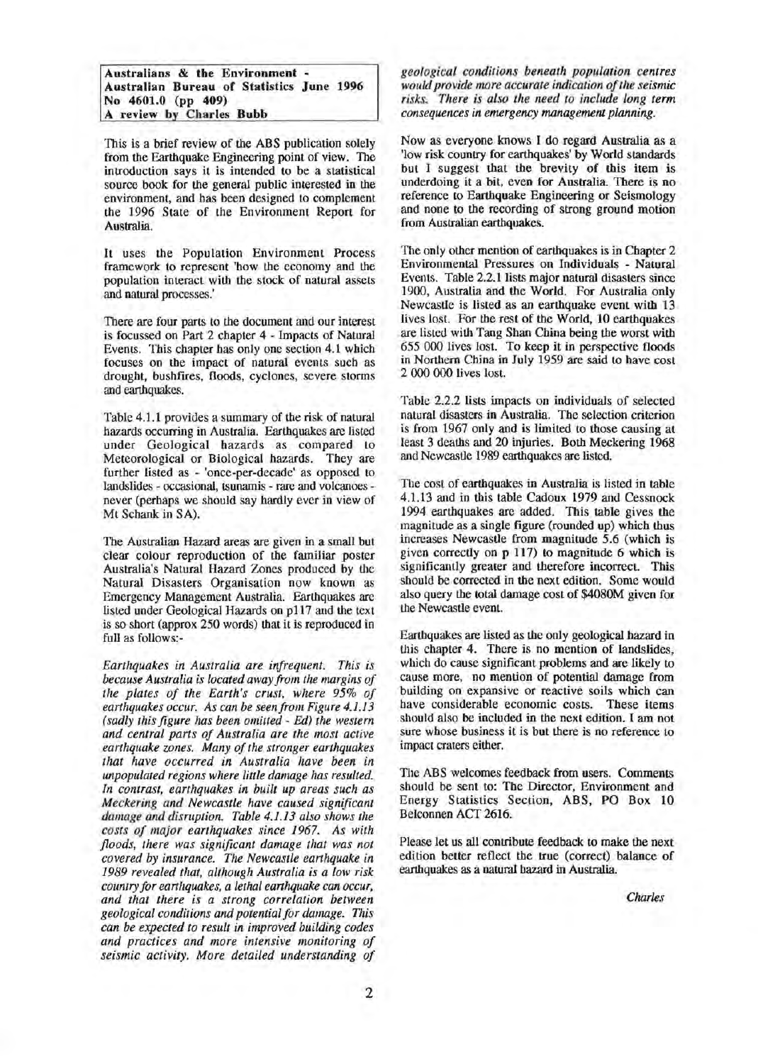Australians & the Environment - Australian Bureau of Statistics June 1996 No 4601.0 (pp 409) A review bv Charles Bubb

This is a brief review of the ABS publication solely from the Earthquake Engineering point of view. The introduction says it is intended to be a statistical source book for the general public interested in the environment, and has been designed to complement the 1996 State of the Environment Report for Australia.

It uses the Population Environment Process framework to represent 'how the economy and the population interact with the stock of natural assets and natural processes.'

There are four parts to the document and our interest is focussed on Part 2 chapter 4 - Impacts of Natural Events. This chapter has only one section 4.1 which focuses on the impact of natural events such as drought, bushfires, floods, cyclones, severe storms and earthquakes.

Table 4.1.1 provides a summary of the risk of natural hazards occurring in Australia. Earthquakes are listed under Geological hazards as compared to Meteorological or Biological hazards. They are further listed as - 'once-per-decade' as opposed to landslides - occasional, tsunamis - rare and volcanoes never (perhaps we should say hardly ever in view of Mt Schank in SA).

The Australian Hazard areas are given in a small but clear colour reproduction of the familiar poster Australia's Natural Hazard Zones produced by the Natural Disasters Organisation now known as Emergency Management Australia. Earthquakes are listed under Geological Hazards on p117 and the text is so short (approx 250 words) that it is reproduced in full as follows:-

*Earthquakes in Australia are infrequent. This is because Australia is located away from the margins of the plates of the Earth's crust, where 95% of earthquakes occur. As can be seen from Figure 4.1.13 (sadly this figure has been omitted* - *Ed) the western and central parts of Australia are the most active earthquake zones. Many of the stronger earthquakes that have occurred in Australia have been in unpopulated regions where little damage has resulted. In contrast, earthquakes in built up areas such as Meckering and Newcastle have caused significant damage and disruption. Table 4.1.13 also shows the costs of major earthquakes since 1967. As with floods, there was significant damage that was not covered by insurance. The Newcastle earthquake in 1989 revealed that, although Australia is a low risk country for earthquakes, a lethal earthquake can occur, and that there is a strong correlation between geological conditions and potential for damage. This can be expected to result in improved building codes and practices and more intensive monitoring of seismic activity. More detailed understanding of* 

*geological conditions beneath population centres would provide more accurate indication of the seismic risks. There is also the need to include long term consequences in emergency management planning.* 

Now as everyone knows I do regard Australia as a 'low risk country for earthquakes' by World standards but I suggest that the brevity of this item is underdoing it a bit, even for Australia. There is no reference to Earthquake Engineering or Seismology and none to the recording of strong ground motion from Australian earthquakes.

The only other mention of earthquakes is in Chapter 2 Environmental Pressures on Individuals - Natural Events. Table 2.2.1 lists major natural disasters since 1900, Australia and the World. For Australia only Newcastle is listed as an earthquake event with 13 lives lost. For the rest of the World, 10 earthquakes are listed with Tang Shan China being the worst with 655 000 lives lost. To keep it in perspective floods in Northern China in July 1959 are said to have cost 2 000 000 lives lost.

Table 2.2.2 lists impacts on individuals of selected natural disasters in Australia. The selection criterion is from 1967 only and is limited to those causing at least 3 deaths and 20 injuries. Both Meckering 1968 and Newcastle 1989 earthquakes are listed.

The cost of earthquakes in Australia is listed in table 4.1.13 and in this table Cadoux 1979 and Cessnock 1994 earthquakes are added. This table gives the magnitude as a single figure (rounded up) which thus increases Newcastle from magnitude 5.6 (which is given correctly on p 117) to magnitude 6 which is significantly greater and therefore incorrect. This should be corrected in the next edition. Some would also query the total damage cost of \$4080M given for the Newcastle event.

Earthquakes are listed as the only geological hazard in this chapter 4. There is no mention of landslides, which do cause significant problems and are likely to cause more, no mention of potential damage from building on expansive or reactive soils which can have considerable economic costs. These items should also be included in the next edition. I am not sure whose business it is but there is no reference to impact craters either.

The ABS welcomes feedback from users. Comments should be sent to: The Director, Environment and Energy Statistics Section, ABS, PO Box 10 Belconnen ACT 2616.

Please let us all contribute feedback to make the next edition better reflect the true (correct) balance of earthquakes as a natural hazard in Australia.

*Charles*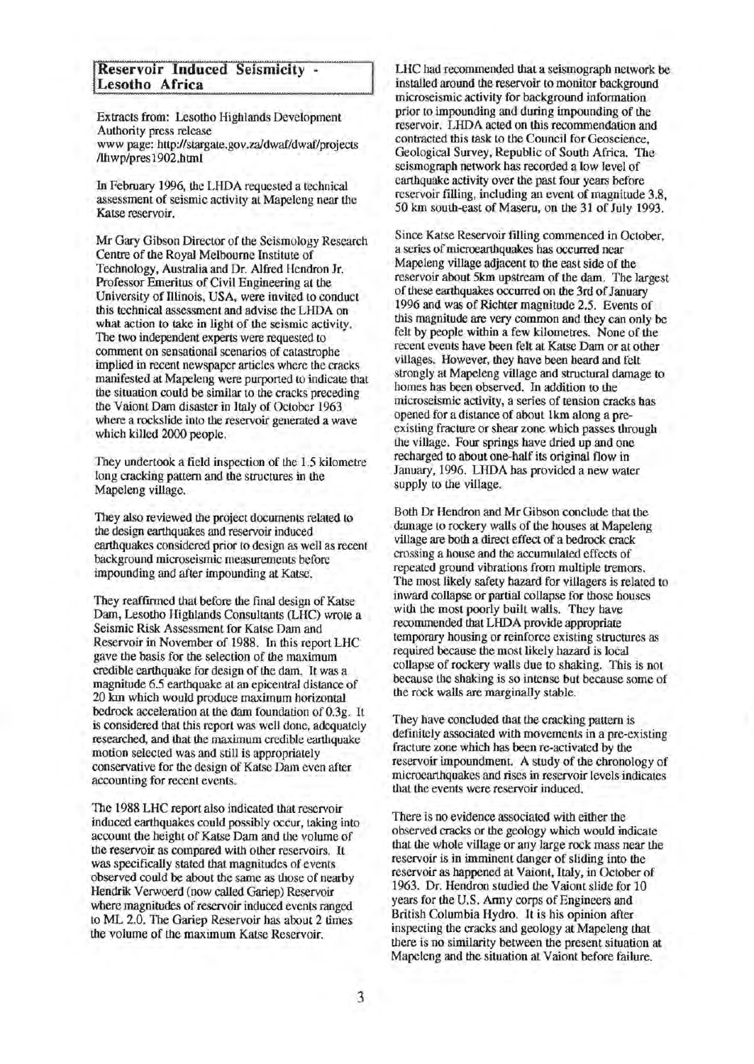# **Reservoir Induced eismicity** - **Lesotho Africa**

Extracts from: Lesotho Highlands Development Authority press release www page: http://stargate.gov.za/dwaf/dwaf/projects /lhwp/pres1902.html

In February 1996, the LHDA requested a technical assessment of seismic activity at Mapeleng near the Katse reservoir.

Mr Gary Gibson Director of the Seismology Research Centre of the Royal Melbourne Institute of Technology, Australia and Dr. Alfred Hendron Jr. Professor Emeritus of Civil Engineering at the University of Illinois, USA, were invited to conduct this technical assessment and advise the LHDA on what action to take in light of the seismic activity. The two independent experts were requested to comment on sensational scenarios of catastrophe implied in recent newspaper articles where the cracks manifested at Mapeleng were purported to indicate that the situation could be similar to the cracks preceding the Vaiont Dam disaster in Italy of October 1963 where a rockslide into the reservoir generated a wave which killed 2000 people.

They undertook a field inspection of the 1.5 kilometre long cracking pattern and the structures in the Mapeleng village.

They also reviewed the project documents related to the design earthquakes and reservoir induced earthquakes considered prior to design as well as recent background microseismic measurements before impounding and after impounding at Katse.

They reaffirmed that before the final design of Katse Dam, Lesotho Highlands Consultants (LHC) wrote a Seismic Risk Assessment for Katse Dam and Reservoir in November of 1988. In this report LHC gave the basis for the selection of the maximum credible earthquake for design of the dam. It was a magnitude 6.5 earthquake at an epicentral distance of 20 km which would produce maximum horizontal bedrock acceleration at the dam foundation of 0.3g. It is considered that this report was well done, adequately researched, and that the maximum credible earthquake motion selected was and still is appropriately conservative for the design of Katse Dam even after accounting for recent events.

The 1988 LHC report also indicated that reservoir induced earthquakes could possibly occur, taking into account the height of Katse Dam and the volume of the reservoir as compared with other reservoirs. It was specifically stated that magnitudes of events observed could be about the same as those of nearby Hendrik Verwoerd (now called Gariep) Reservoir where magnitudes of reservoir induced events ranged to ML 2.0. The Gariep Reservoir has about 2 times the volume of the maximum Katse Reservoir.

LHC had recommended that a seismograph network be installed around the reservoir to monitor background microseismic activity for background information prior to impounding and during impounding of the reservoir. LHDA acted on this recommendation and contracted this task to the Council for Geoscience, Geological Survey, Republic of South Africa. The seismograph network has recorded a low level of earthquake activity over the past four years before reservoir filling, including an event of magnitude 3.8, 50 km south-east of Maseru, on the 31 of July 1993.

Since Katse Reservoir filling commenced in October a series of microearthquakes has occurred near ' Mapeleng village adjacent to the east side of the reservoir about 5km upstream of the dam. The largest of these earthquakes occurred on the 3rd of January 1996 and was of Richter magnitude 2.5. Events of this magnitude are very common and they can only be felt by people within a few kilometres. None of the recent events have been felt at Katse Dam or at other villages. However, they have been heard and felt strongly at Mapeleng village and structural damage to homes has been observed. In addition to the microseismic activity, a series of tension cracks has opened for a distance of about 1km along a preexisting fracture or shear zone which passes through the village. Four springs have dried up and one recharged to about one-half its original flow in January, 1996. LHDA has provided a new water supply to the village.

Both Dr Hendron and Mr Gibson conclude that the damage to rockery walls of the houses at Mapeleng village are both a direct effect of a bedrock crack crossing a house and the accumulated effects of repeated ground vibrations from multiple tremors. The most likely safety hazard for villagers is related to inward collapse or partial collapse for those houses with the most poorly built walls. They have reconunended that LHDA provide appropriate temporary housing or reinforce existing structures as required because the most likely hazard is local collapse of rockery walls due to shaking. This is not because the shaking is so intense but because some of the rock walls are marginally stable.

They have concluded that the cracking pattem is definitely associated with movements in a pre-existing fracture zone which has been re-activated by the reservoir impoundment. A study of the chronology of microearthquakes and rises in reservoir levels indicates that the events were reservoir induced.

There is no evidence associated with either the observed cracks or the geology which would indicate that the whole village or any large rock mass near the reservoir is in imminent danger of sliding into the reservoir as happened at Vaiont, Italy, in October of 1963. Dr. Hendron studied the Vaiont slide for 10 years for the U.S. Army corps of Engineers and British Columbia Hydro. It is his opinion after inspecting the cracks and geology at Mapeleng that there is no similarity between the present situation at Mapeleng and the situation at Vaiont before failure.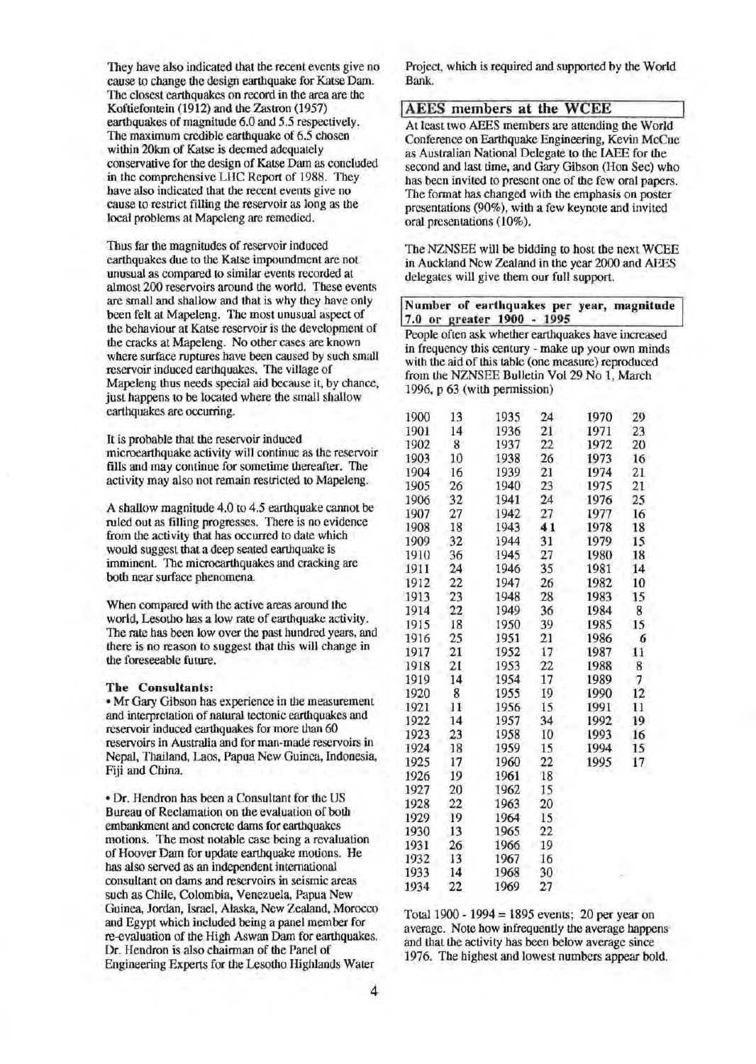They have also indicated that the recent events give no cause to cbange the design earthquake for Katse Dam. The closest earthquakes on record in the area are the Koftiefontein (1912) and the Zastron (1957) earthquakes of magnitude 6.0 and 5.5 respectively. The maximum credible earthquake of 6.5 chosen within 20km of Katse is deemed adequately conservative for the design of Katse Dam as concluded in the comprehensive LHC Report of 1988. They have also indicated that the recent events give no cause to restrict filling the reservoir as long as the local problems at Mapeleng are remedied.

Thus far the magnitudes of reservoir induced earthquakes due to the Katse impoundment are not unusual as compared to similar events recorded at almost 200 reservoirs around the world. These events are small and shallow and that is why they have only been felt at Mapeleng. The most unusual aspect of the behaviour at Katse reservoir is the development of the cracks at Mapeleng. No other cases are known where surface ruptures have been caused by such small reservoir induced earthquakes. The village of Mapeleng thus needs special aid because it, by chance, just happens to be located where the small shallow earthquakes are occurring.

It is probable that the reservoir induced microearthquake activity will continue as the reservotr fills and may continue for sometime thereafter. The activity may also not remain restricted to Mapeleng.

A shallow magnitude 4.0 to 4.5 earthquake cannot be ruled out as filling progresses. There is no evidence from the activity that has occurred to date which would suggest that a deep seated earthquake is imminent. The microearthquakes and cracking are both near surface phenomena.

When compared with the active areas around the world, Lesotho bas a low rate of earthquake activity. The rate has been low over the past hundred years, and there is no reason to suggest that this will change in the foreseeable future.

#### The Consultants:

• Mr Gary Gibson bas experience in the measurement and interpretation of natural tectonic earthquakes and reservoir induced earthquakes for more than 60 reservoirs in Australia and for man-made reservoirs in Nepal, Thailand, Laos, Papua New Guinea, Indonesia, Fiji and China.

• Dr. Hendron has been a Consultant for the US Bureau of Reclamation on the evaluation of both embankment and concrete dams for earthquakes motions. The most notable case being a revaluation of Hoover Dam for update earthquake motions. He has also served as an independent international consultant on dams and reservoirs in seismic areas such as Chile, Colombia, Venezuela, Papua New Guinea, Jordan, Israel, Alaska, New Zealand, Morocco and Egypt which included being a panel member for re-evaluation of the High Aswan Dam for earthquakes. Dr. Hendron is also chairman of the Panel of Engineering Experts for the Lesotho Highlands Water

Project, which is required and supported by the World Bank.

# I AEES members at the WCEE

At least two AEES members are attending the World Conference on Earthquake Engineering, Kevin McCue as Australian National Delegate to the IAEE for the second and last time, and Gary Gibson (Hon Sec) who has been invited to present one of the few oral papers. The format has changed with the emphasis on poster presentations (90%), with a few keynote and invited oral presentations (10%).

The NZNSEE will be bidding to host the next WCEE in Auckland New Zealand in the year 2000 and AEES delegates will give them our full support.

Number of earthquakes per year, magnitude 7.0 or greater 1900 - 1995

People often ask whether earthquakes have increased in frequency this century - make up your own minds with the aid of this table (one measure) reproduced from the NZNSEE Bulletin Vol29 No 1, March 1996, p 63 (with permission)

| 1900 | 13 | 1935 | 24 | 1970 | 29 |
|------|----|------|----|------|----|
| 1901 | 14 | 1936 | 21 | 1971 | 23 |
| 1902 | 8  | 1937 | 22 | 1972 | 20 |
| 1903 | 10 | 1938 | 26 | 1973 | 16 |
| 1904 | 16 | 1939 | 21 | 1974 | 21 |
| 1905 | 26 | 1940 | 23 | 1975 | 21 |
| 1906 | 32 | 1941 | 24 | 1976 | 25 |
| 1907 | 27 | 1942 | 27 | 1977 | 16 |
| 1908 | 18 | 1943 | 41 | 1978 | 18 |
| 1909 | 32 | 1944 | 31 | 1979 | 15 |
| 1910 | 36 | 1945 | 27 | 1980 | 18 |
| 1911 | 24 | 1946 | 35 | 1981 | 14 |
| 1912 | 22 | 1947 | 26 | 1982 | 10 |
| 1913 | 23 | 1948 | 28 | 1983 | 15 |
| 1914 | 22 | 1949 | 36 | 1984 | 8  |
| 1915 | 18 | 1950 | 39 | 1985 | 15 |
| 1916 | 25 | 1951 | 21 | 1986 | 6  |
| 1917 | 21 | 1952 | 17 | 1987 | 11 |
| 1918 | 21 | 1953 | 22 | 1988 | 8  |
| 1919 | 14 | 1954 | 17 | 1989 | 7  |
| 1920 | 8  | 1955 | 19 | 1990 | 12 |
| 1921 | 11 | 1956 | 15 | 1991 | 11 |
| 1922 | 14 | 1957 | 34 | 1992 | 19 |
| 1923 | 23 | 1958 | 10 | 1993 | 16 |
| 1924 | 18 | 1959 | 15 | 1994 | 15 |
| 1925 | 17 | 1960 | 22 | 1995 | 17 |
| 1926 | 19 | 1961 | 18 |      |    |
| 1927 | 20 | 1962 | 15 |      |    |
| 1928 | 22 | 1963 | 20 |      |    |
| 1929 | 19 | 1964 | 15 |      |    |
| 1930 | 13 | 1965 | 22 |      |    |
| 1931 | 26 | 1966 | 19 |      |    |
| 1932 | 13 | 1967 | 16 |      |    |
| 1933 | 14 | 1968 | 30 |      |    |
| 1934 | 22 | 1969 | 27 |      |    |

Tota11900- 1994 = 1895 events; 20 per year on average. Note how infrequently the average happens and that the activity has been below average since 1976. The highest and lowest numbers appear bold.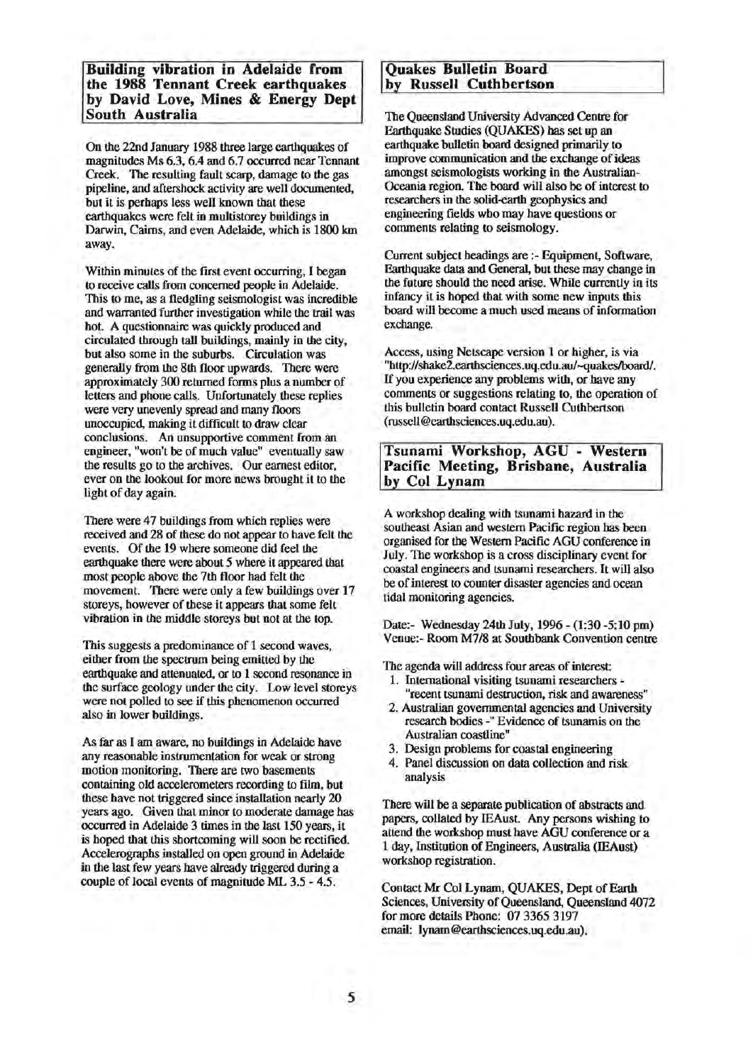Building vibration in Adelaide from the 1988 Tennant Creek earthquakes by David Love, Mines & Energy Dept South Australia

On the 22nd January 1988 three large earthquakes of magnitudes Ms 6.3, 6.4 and 6.7 occurred near Tennant Creek. The resulting fault scarp, damage to the gas pipeline, and aftershock activity are well documented, but it is perhaps less well known that these earthquakes were felt in multistorey buildings in Darwin, Cairns, and even Adelaide, which is 1800 km away.

Within minutes of the first event occurring, I began to receive calls from concerned people in Adelaide. This to me, as a fledgling seismologist was incredible and warranted further investigation while the trail was hot. A questionnaire was quickly produced and circulated through tall buildings, mainly in the city, but also some in the suburbs. Circulation was generally from the 8th floor upwards. There were approximately 300 returned forms plus a number of letters and phone calls. Unfortunately these replies were very unevenly spread and many floors unoccupied, making it difficult to draw clear conclusions. An unsupportive comment from an engineer, "won't be of much value" eventually saw the results go to the archives. Our earnest editor, ever on the lookout for more news brought it to the light of day again.

There were 47 buildings from which replies were received and 28 of these do not appear to have felt the events. Of the 19 where someone did feel the earthquake there were about 5 where it appeared that most people above the 7th floor had felt the movement. There were only a few buildings over 17 storeys, however of these it appears that some felt vibration in the middle storeys but not at the top.

This suggests a predominance of 1 second waves, either from the spectrum being emitted by the earthquake and attenuated, or to 1 second resonance in the surface geology under the city. Low level storeys were not polled to see if this phenomenon occurred also in lower buildings.

As far as I am aware, no buildings in Adelaide have any reasonable instrumentation for weak or strong motion monitoring. There are two basements containing old accelerometers recording to film, but these have not triggered since installation nearly 20 years ago. Given that minor to moderate damage has occurred in Adelaide 3 times in the last 150 years, it is hoped that this shortcoming will soon be rectified. Accelerographs installed on open ground in Adelaide in the last few years have already triggered during a couple of local events of magnitude ML 3.5 - 4.5.

# Quakes Bulletin Board by Russell Cuthbertson

The Queensland University Advanced Centre for Earthquake Studies (QUAKES) has set up an earthquake bulletin board designed primarily to improve communication and the exchange of ideas amongst seismologists working in the Australian-Oceania region. The board will also be of interest to researchers in the solid-earth geophysics and engineering fields who may have questions or comments relating to seismology.

Current subject beadings are :-Equipment, Software, Earthquake data and General, but these may change in the future should the need arise. While currently in its infancy it is hoped that with some new inputs this board will become a much used means of information exchange.

Access, using Netscape version 1 or higher, is via "http://shake2.earthsciences.uq.edu.aul-quakeslboard/. If you experience any problems with, or have any comments or suggestions relating to, the operation of this bulletin board contact Russell Cuthbertson (russell @earthsciences.uq.edu.au).

# Tsunami Workshop, AGU - Western Pacific Meeting, Brisbane, Australia by Col Lynam

A workshop dealing with tsunami hazard in the southeast Asian and western Pacific region has been organised for the Western Pacific AGU conference in July. The workshop is a cross disciplinary event for coastal engineers and tsunami researchers. It will also be of interest to counter disaster agencies and ocean tidal monitoring agencies.

Date:- Wednesday 24th July, 1996 - (1:30 -5:10 pm) Venue:- Room M7/8 at Southbank Convention centre

The agenda will address four areas of interest:

- 1. International visiting tsunami researchers "recent tsunami destruction, risk and awareness"
- 2. Australian governmental agencies and University research bodies -" Evidence of tsunamis on the Australian coastline"
- 3. Design problems for coastal engineering
- 4. Panel discussion on data collection and risk analysis

There will be a separate publication of abstracts and papers, collated by IEAust. Any persons wishing to attend the workshop must have AGU conference or a 1 day, Institution of Engineers, Australia (IEAust) workshop registration.

Contact Mr Col Lynam, QUAKES, Dept of Earth Sciences, University of Queensland, Queensland 4072 for more details Phone: 07 3365 3197 email: Iynam @earthsciences.uq.edu.au).